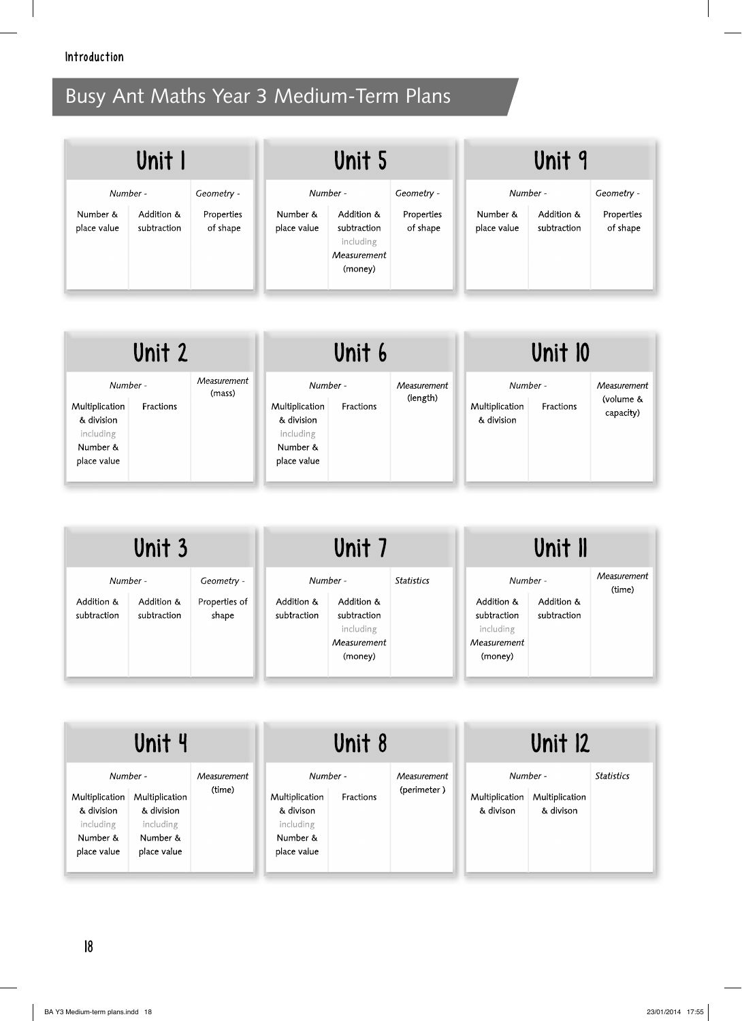| Unit I                  |                           | Unit 5                 |                         | Unit 9                                                           |                        |                         |                           |                        |
|-------------------------|---------------------------|------------------------|-------------------------|------------------------------------------------------------------|------------------------|-------------------------|---------------------------|------------------------|
| Number -                |                           | Geometry -             |                         | Number -                                                         | Geometry -             | Number -                |                           | Geometry -             |
| Number &<br>place value | Addition &<br>subtraction | Properties<br>of shape | Number &<br>place value | Addition &<br>subtraction<br>including<br>Measurement<br>(money) | Properties<br>of shape | Number &<br>place value | Addition &<br>subtraction | Properties<br>of shape |

| Unit 2                     |           | Unit 6                |                            | Unit 10   |                         |                            |           |                          |
|----------------------------|-----------|-----------------------|----------------------------|-----------|-------------------------|----------------------------|-----------|--------------------------|
| Number -<br>Multiplication | Fractions | Measurement<br>(mass) | Number -<br>Multiplication | Fractions | Measurement<br>(length) | Number -<br>Multiplication | Fractions | Measurement<br>(volume & |
| & division<br>including    |           |                       | & division<br>including    |           |                         | & division                 |           | capacity)                |
| Number &<br>place value    |           |                       | Number &<br>place value    |           |                         |                            |           |                          |

| Unit 3                    |                           | Unit 7                 |                           | Unit II                                                          |                   |                                                                  |                           |                       |
|---------------------------|---------------------------|------------------------|---------------------------|------------------------------------------------------------------|-------------------|------------------------------------------------------------------|---------------------------|-----------------------|
| Number -                  |                           | Geometry -             |                           | Number -                                                         | <b>Statistics</b> | Number -                                                         |                           | Measurement<br>(time) |
| Addition &<br>subtraction | Addition &<br>subtraction | Properties of<br>shape | Addition &<br>subtraction | Addition &<br>subtraction<br>including<br>Measurement<br>(money) |                   | Addition &<br>subtraction<br>including<br>Measurement<br>(money) | Addition &<br>subtraction |                       |

| Unit 4                                                |                                           |                       | Unit 8                                               |           |                            | <b>Unit 12</b>                          |                             |                   |
|-------------------------------------------------------|-------------------------------------------|-----------------------|------------------------------------------------------|-----------|----------------------------|-----------------------------------------|-----------------------------|-------------------|
| Number -<br>Multiplication<br>& division<br>including | Multiplication<br>& division<br>including | Measurement<br>(time) | Number -<br>Multiplication<br>& divison<br>including | Fractions | Measurement<br>(perimeter) | Number -<br>Multiplication<br>& divison | Multiplication<br>& divison | <b>Statistics</b> |
| Number &<br>place value                               | Number &<br>place value                   |                       | Number &<br>place value                              |           |                            |                                         |                             |                   |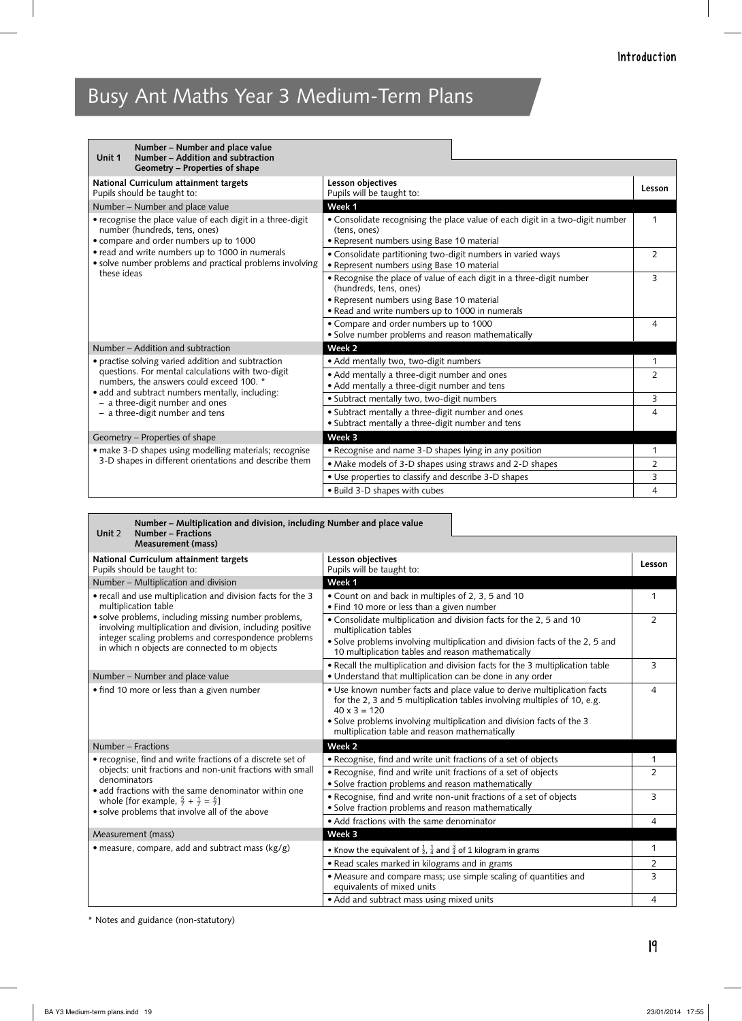**Number – Multiplication and division, including Number and place value**

| Number - Number and place value<br>Number - Addition and subtraction<br>Unit 1                                                        |                                                                                                                                                                                                 |                |
|---------------------------------------------------------------------------------------------------------------------------------------|-------------------------------------------------------------------------------------------------------------------------------------------------------------------------------------------------|----------------|
| Geometry - Properties of shape                                                                                                        |                                                                                                                                                                                                 |                |
| National Curriculum attainment targets<br>Pupils should be taught to:                                                                 | Lesson objectives<br>Pupils will be taught to:                                                                                                                                                  | Lesson         |
| Number - Number and place value                                                                                                       | Week 1                                                                                                                                                                                          |                |
| • recognise the place value of each digit in a three-digit<br>number (hundreds, tens, ones)<br>• compare and order numbers up to 1000 | • Consolidate recognising the place value of each digit in a two-digit number<br>(tens, ones)<br>· Represent numbers using Base 10 material                                                     | 1              |
| • read and write numbers up to 1000 in numerals<br>• solve number problems and practical problems involving                           | • Consolidate partitioning two-digit numbers in varied ways<br>• Represent numbers using Base 10 material                                                                                       | 2              |
| these ideas                                                                                                                           | • Recognise the place of value of each digit in a three-digit number<br>(hundreds, tens, ones)<br>• Represent numbers using Base 10 material<br>• Read and write numbers up to 1000 in numerals | 3              |
|                                                                                                                                       | • Compare and order numbers up to 1000<br>· Solve number problems and reason mathematically                                                                                                     | 4              |
| Number – Addition and subtraction                                                                                                     | Week 2                                                                                                                                                                                          |                |
| • practise solving varied addition and subtraction                                                                                    | • Add mentally two, two-digit numbers                                                                                                                                                           | 1              |
| questions. For mental calculations with two-digit<br>numbers, the answers could exceed 100. *                                         | • Add mentally a three-digit number and ones<br>• Add mentally a three-digit number and tens                                                                                                    | 2              |
| • add and subtract numbers mentally, including:<br>- a three-digit number and ones                                                    | · Subtract mentally two, two-digit numbers                                                                                                                                                      | 3              |
| - a three-digit number and tens                                                                                                       | • Subtract mentally a three-digit number and ones<br>· Subtract mentally a three-digit number and tens                                                                                          | 4              |
| Geometry - Properties of shape                                                                                                        | Week 3                                                                                                                                                                                          |                |
| • make 3-D shapes using modelling materials; recognise                                                                                | • Recognise and name 3-D shapes lying in any position                                                                                                                                           | 1              |
| 3-D shapes in different orientations and describe them                                                                                | • Make models of 3-D shapes using straws and 2-D shapes                                                                                                                                         | $\overline{2}$ |
|                                                                                                                                       | • Use properties to classify and describe 3-D shapes                                                                                                                                            | 3              |
|                                                                                                                                       | . Build 3-D shapes with cubes                                                                                                                                                                   | 4              |

| Unit 2<br>Number – Fractions<br>Measurement (mass)                                                                                                                                                                         |                                                                                                                                                                                                                                                                                                       |                |
|----------------------------------------------------------------------------------------------------------------------------------------------------------------------------------------------------------------------------|-------------------------------------------------------------------------------------------------------------------------------------------------------------------------------------------------------------------------------------------------------------------------------------------------------|----------------|
| National Curriculum attainment targets<br>Pupils should be taught to:                                                                                                                                                      | Lesson objectives<br>Pupils will be taught to:                                                                                                                                                                                                                                                        | Lesson         |
| Number - Multiplication and division                                                                                                                                                                                       | Week 1                                                                                                                                                                                                                                                                                                |                |
| • recall and use multiplication and division facts for the 3<br>multiplication table                                                                                                                                       | • Count on and back in multiples of 2, 3, 5 and 10<br>• Find 10 more or less than a given number                                                                                                                                                                                                      | $\mathbf{1}$   |
| • solve problems, including missing number problems,<br>involving multiplication and division, including positive<br>integer scaling problems and correspondence problems<br>in which n objects are connected to m objects | • Consolidate multiplication and division facts for the 2, 5 and 10<br>multiplication tables<br>• Solve problems involving multiplication and division facts of the 2, 5 and                                                                                                                          | $\overline{2}$ |
|                                                                                                                                                                                                                            | 10 multiplication tables and reason mathematically                                                                                                                                                                                                                                                    |                |
| Number – Number and place value                                                                                                                                                                                            | • Recall the multiplication and division facts for the 3 multiplication table<br>• Understand that multiplication can be done in any order                                                                                                                                                            | 3              |
| • find 10 more or less than a given number                                                                                                                                                                                 | . Use known number facts and place value to derive multiplication facts<br>for the 2, 3 and 5 multiplication tables involving multiples of 10, e.g.<br>$40 \times 3 = 120$<br>• Solve problems involving multiplication and division facts of the 3<br>multiplication table and reason mathematically | 4              |
| Number - Fractions                                                                                                                                                                                                         | Week <sub>2</sub>                                                                                                                                                                                                                                                                                     |                |
| • recognise, find and write fractions of a discrete set of                                                                                                                                                                 | • Recognise, find and write unit fractions of a set of objects                                                                                                                                                                                                                                        | 1              |
| objects: unit fractions and non-unit fractions with small<br>denominators<br>• add fractions with the same denominator within one                                                                                          | • Recognise, find and write unit fractions of a set of objects<br>• Solve fraction problems and reason mathematically                                                                                                                                                                                 | $\overline{2}$ |
| whole [for example, $\frac{5}{7} + \frac{1}{7} = \frac{6}{7}$ ]<br>· solve problems that involve all of the above                                                                                                          | • Recognise, find and write non-unit fractions of a set of objects<br>· Solve fraction problems and reason mathematically                                                                                                                                                                             | 3              |
|                                                                                                                                                                                                                            | • Add fractions with the same denominator                                                                                                                                                                                                                                                             | $\overline{4}$ |
| Measurement (mass)                                                                                                                                                                                                         | Week 3                                                                                                                                                                                                                                                                                                |                |
| • measure, compare, add and subtract mass (kg/g)                                                                                                                                                                           | • Know the equivalent of $\frac{1}{2}$ , $\frac{1}{4}$ and $\frac{3}{4}$ of 1 kilogram in grams                                                                                                                                                                                                       | 1              |
|                                                                                                                                                                                                                            | • Read scales marked in kilograms and in grams                                                                                                                                                                                                                                                        | 2              |
|                                                                                                                                                                                                                            | • Measure and compare mass; use simple scaling of quantities and<br>equivalents of mixed units                                                                                                                                                                                                        | 3              |
|                                                                                                                                                                                                                            | • Add and subtract mass using mixed units                                                                                                                                                                                                                                                             | $\overline{4}$ |

\* Notes and guidance (non-statutory)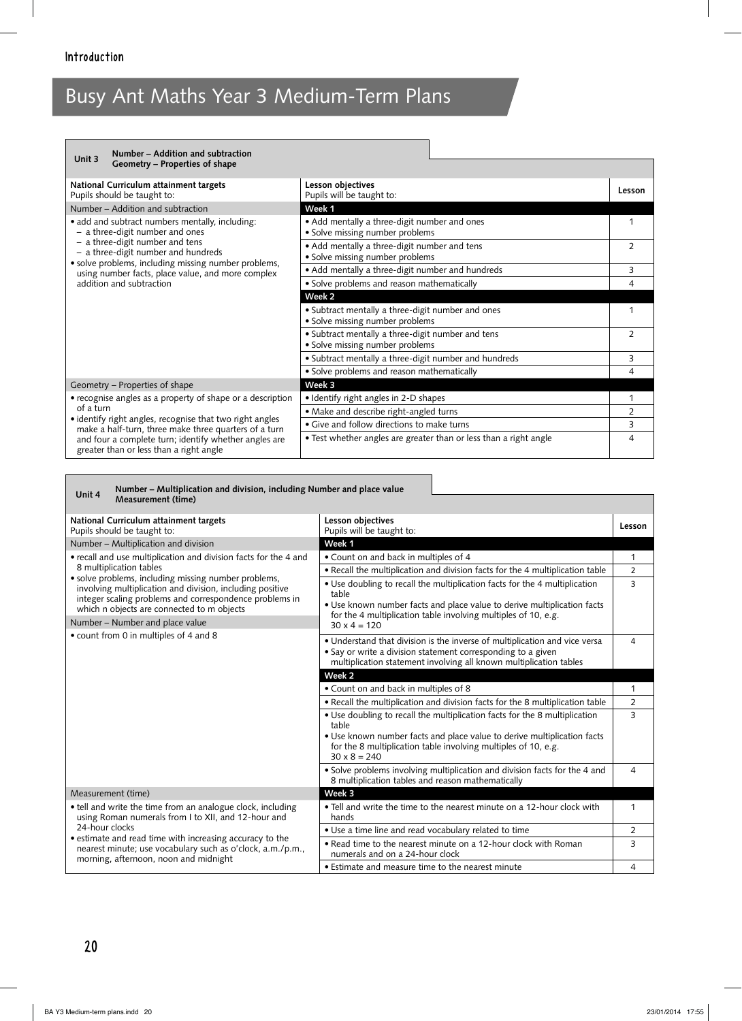| Number – Addition and subtraction<br>Unit 3                                                                                                                                                                     |                                                                                      |                |
|-----------------------------------------------------------------------------------------------------------------------------------------------------------------------------------------------------------------|--------------------------------------------------------------------------------------|----------------|
| Geometry – Properties of shape                                                                                                                                                                                  |                                                                                      |                |
| National Curriculum attainment targets<br>Pupils should be taught to:                                                                                                                                           | Lesson objectives<br>Pupils will be taught to:                                       | Lesson         |
| Number – Addition and subtraction                                                                                                                                                                               | Week 1                                                                               |                |
| • add and subtract numbers mentally, including:<br>- a three-digit number and ones                                                                                                                              | • Add mentally a three-digit number and ones<br>• Solve missing number problems      | 1              |
| - a three-digit number and tens<br>- a three-digit number and hundreds<br>• solve problems, including missing number problems,<br>using number facts, place value, and more complex<br>addition and subtraction | • Add mentally a three-digit number and tens<br>• Solve missing number problems      | $\mathcal{P}$  |
|                                                                                                                                                                                                                 | • Add mentally a three-digit number and hundreds                                     | 3              |
|                                                                                                                                                                                                                 | · Solve problems and reason mathematically                                           | 4              |
|                                                                                                                                                                                                                 | Week <sub>2</sub>                                                                    |                |
|                                                                                                                                                                                                                 | • Subtract mentally a three-digit number and ones<br>• Solve missing number problems | 1              |
|                                                                                                                                                                                                                 | • Subtract mentally a three-digit number and tens<br>• Solve missing number problems | 2              |
|                                                                                                                                                                                                                 | · Subtract mentally a three-digit number and hundreds                                | 3              |
|                                                                                                                                                                                                                 | · Solve problems and reason mathematically                                           | 4              |
| Geometry - Properties of shape                                                                                                                                                                                  | Week 3                                                                               |                |
| • recognise angles as a property of shape or a description                                                                                                                                                      | • Identify right angles in 2-D shapes                                                | 1              |
| of a turn                                                                                                                                                                                                       | • Make and describe right-angled turns                                               | $\overline{2}$ |
| • identify right angles, recognise that two right angles<br>make a half-turn, three make three quarters of a turn                                                                                               | • Give and follow directions to make turns                                           | 3              |
| and four a complete turn; identify whether angles are<br>greater than or less than a right angle                                                                                                                | • Test whether angles are greater than or less than a right angle                    | $\overline{4}$ |

#### **Unit 4 Number – Multiplication and division, including Number and place value Measurement (time)**

| National Curriculum attainment targets<br>Pupils should be taught to:                                                                                                                                                                     | Lesson objectives<br>Pupils will be taught to:                                                                                                                                                                                                          | Lesson         |
|-------------------------------------------------------------------------------------------------------------------------------------------------------------------------------------------------------------------------------------------|---------------------------------------------------------------------------------------------------------------------------------------------------------------------------------------------------------------------------------------------------------|----------------|
| Number - Multiplication and division                                                                                                                                                                                                      | Week 1                                                                                                                                                                                                                                                  |                |
| • recall and use multiplication and division facts for the 4 and                                                                                                                                                                          | • Count on and back in multiples of 4                                                                                                                                                                                                                   | $\mathbf{1}$   |
| 8 multiplication tables                                                                                                                                                                                                                   | • Recall the multiplication and division facts for the 4 multiplication table                                                                                                                                                                           | $\overline{2}$ |
| involving multiplication and division, including positive<br>integer scaling problems and correspondence problems in<br>which n objects are connected to m objects                                                                        | • Use doubling to recall the multiplication facts for the 4 multiplication<br>table<br>• Use known number facts and place value to derive multiplication facts                                                                                          | 3              |
| Number - Number and place value                                                                                                                                                                                                           | for the 4 multiplication table involving multiples of 10, e.g.<br>$30 \times 4 = 120$                                                                                                                                                                   |                |
| • count from 0 in multiples of 4 and 8                                                                                                                                                                                                    | • Understand that division is the inverse of multiplication and vice versa<br>• Say or write a division statement corresponding to a given<br>multiplication statement involving all known multiplication tables                                        | 4              |
|                                                                                                                                                                                                                                           | Week <sub>2</sub>                                                                                                                                                                                                                                       |                |
|                                                                                                                                                                                                                                           | • Count on and back in multiples of 8                                                                                                                                                                                                                   | 1              |
|                                                                                                                                                                                                                                           | . Recall the multiplication and division facts for the 8 multiplication table                                                                                                                                                                           | $\overline{2}$ |
|                                                                                                                                                                                                                                           | • Use doubling to recall the multiplication facts for the 8 multiplication<br>table<br>• Use known number facts and place value to derive multiplication facts<br>for the 8 multiplication table involving multiples of 10, e.g.<br>$30 \times 8 = 240$ | 3              |
|                                                                                                                                                                                                                                           | • Solve problems involving multiplication and division facts for the 4 and<br>8 multiplication tables and reason mathematically                                                                                                                         | 4              |
| Measurement (time)                                                                                                                                                                                                                        | Week 3                                                                                                                                                                                                                                                  |                |
| • tell and write the time from an analogue clock, including<br>using Roman numerals from I to XII, and 12-hour and                                                                                                                        | • Tell and write the time to the nearest minute on a 12-hour clock with<br>hands                                                                                                                                                                        | 1              |
| • solve problems, including missing number problems,<br>24-hour clocks<br>• estimate and read time with increasing accuracy to the<br>nearest minute; use vocabulary such as o'clock, a.m./p.m.,<br>morning, afternoon, noon and midnight | • Use a time line and read vocabulary related to time                                                                                                                                                                                                   | 2              |
|                                                                                                                                                                                                                                           | . Read time to the nearest minute on a 12-hour clock with Roman<br>numerals and on a 24-hour clock                                                                                                                                                      | 3              |
|                                                                                                                                                                                                                                           | • Estimate and measure time to the nearest minute                                                                                                                                                                                                       | $\overline{4}$ |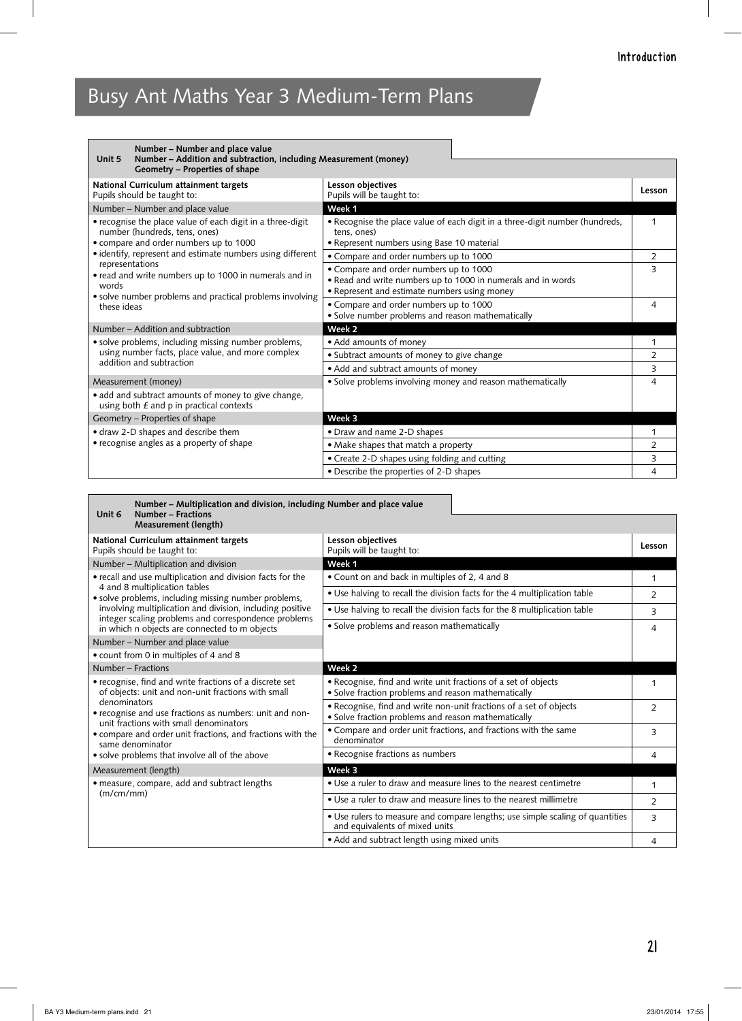| Number – Number and place value<br>Number - Addition and subtraction, including Measurement (money)<br>Unit 5<br>Geometry – Properties of shape |                                                                                                                                                        |                |
|-------------------------------------------------------------------------------------------------------------------------------------------------|--------------------------------------------------------------------------------------------------------------------------------------------------------|----------------|
| National Curriculum attainment targets<br>Pupils should be taught to:                                                                           | Lesson objectives<br>Pupils will be taught to:                                                                                                         | Lesson         |
| Number - Number and place value                                                                                                                 | Week 1                                                                                                                                                 |                |
| • recognise the place value of each digit in a three-digit<br>number (hundreds, tens, ones)<br>• compare and order numbers up to 1000           | • Recognise the place value of each digit in a three-digit number (hundreds,<br>tens, ones)<br>• Represent numbers using Base 10 material              | 1              |
| • identify, represent and estimate numbers using different                                                                                      | • Compare and order numbers up to 1000                                                                                                                 | $\overline{2}$ |
| representations<br>• read and write numbers up to 1000 in numerals and in<br>words                                                              | • Compare and order numbers up to 1000<br>. Read and write numbers up to 1000 in numerals and in words<br>• Represent and estimate numbers using money | 3              |
| • solve number problems and practical problems involving<br>these ideas                                                                         | • Compare and order numbers up to 1000<br>· Solve number problems and reason mathematically                                                            | 4              |
| Number – Addition and subtraction                                                                                                               | Week <sub>2</sub>                                                                                                                                      |                |
| • solve problems, including missing number problems,                                                                                            | • Add amounts of money                                                                                                                                 | 1              |
| using number facts, place value, and more complex<br>addition and subtraction                                                                   | • Subtract amounts of money to give change                                                                                                             | 2              |
|                                                                                                                                                 | • Add and subtract amounts of money                                                                                                                    | 3              |
| Measurement (money)                                                                                                                             | • Solve problems involving money and reason mathematically                                                                                             | 4              |
| • add and subtract amounts of money to give change,<br>using both $E$ and $p$ in practical contexts                                             |                                                                                                                                                        |                |
| Geometry - Properties of shape                                                                                                                  | Week 3                                                                                                                                                 |                |
| • draw 2-D shapes and describe them                                                                                                             | • Draw and name 2-D shapes                                                                                                                             |                |
| • recognise angles as a property of shape                                                                                                       | • Make shapes that match a property                                                                                                                    | $\overline{2}$ |
|                                                                                                                                                 | • Create 2-D shapes using folding and cutting                                                                                                          | 3              |
|                                                                                                                                                 | • Describe the properties of 2-D shapes                                                                                                                | 4              |

| Number – Multiplication and division, including Number and place value<br>Unit 6<br>Number - Fractions<br><b>Measurement (length)</b> |                                                                                                                           |                |
|---------------------------------------------------------------------------------------------------------------------------------------|---------------------------------------------------------------------------------------------------------------------------|----------------|
| National Curriculum attainment targets<br>Pupils should be taught to:                                                                 | Lesson objectives<br>Pupils will be taught to:                                                                            | Lesson         |
| Number - Multiplication and division                                                                                                  | Week 1                                                                                                                    |                |
| • recall and use multiplication and division facts for the                                                                            | • Count on and back in multiples of 2, 4 and 8                                                                            | 1              |
| 4 and 8 multiplication tables<br>• solve problems, including missing number problems,                                                 | • Use halving to recall the division facts for the 4 multiplication table                                                 | 2              |
| involving multiplication and division, including positive                                                                             | • Use halving to recall the division facts for the 8 multiplication table                                                 | 3              |
| integer scaling problems and correspondence problems<br>in which n objects are connected to m objects                                 | • Solve problems and reason mathematically                                                                                | 4              |
| Number - Number and place value                                                                                                       |                                                                                                                           |                |
| • count from 0 in multiples of 4 and 8                                                                                                |                                                                                                                           |                |
| Number - Fractions                                                                                                                    | Week 2                                                                                                                    |                |
| • recognise, find and write fractions of a discrete set<br>of objects: unit and non-unit fractions with small                         | • Recognise, find and write unit fractions of a set of objects<br>· Solve fraction problems and reason mathematically     | 1              |
| denominators<br>• recognise and use fractions as numbers: unit and non-                                                               | • Recognise, find and write non-unit fractions of a set of objects<br>· Solve fraction problems and reason mathematically | $\overline{2}$ |
| unit fractions with small denominators<br>• compare and order unit fractions, and fractions with the<br>same denominator              | • Compare and order unit fractions, and fractions with the same<br>denominator                                            | 3              |
| · solve problems that involve all of the above                                                                                        | • Recognise fractions as numbers                                                                                          | 4              |
| Measurement (length)                                                                                                                  | Week 3                                                                                                                    |                |
| · measure, compare, add and subtract lengths                                                                                          | • Use a ruler to draw and measure lines to the nearest centimetre                                                         | 1              |
| (m/cm/mm)                                                                                                                             | • Use a ruler to draw and measure lines to the nearest millimetre                                                         | 2              |
|                                                                                                                                       | • Use rulers to measure and compare lengths; use simple scaling of quantities<br>and equivalents of mixed units           | 3              |
|                                                                                                                                       | • Add and subtract length using mixed units                                                                               | 4              |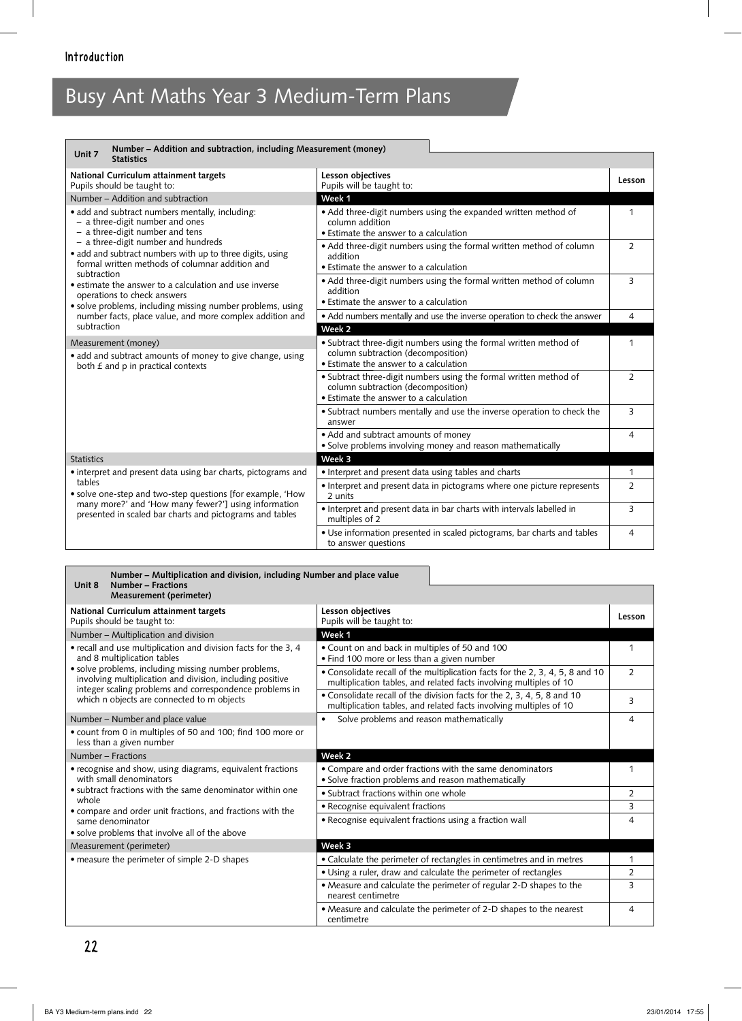| Number - Addition and subtraction, including Measurement (money)<br>Unit 7<br><b>Statistics</b>                                                                                                                                                                                    |                                                                                                |                |
|------------------------------------------------------------------------------------------------------------------------------------------------------------------------------------------------------------------------------------------------------------------------------------|------------------------------------------------------------------------------------------------|----------------|
|                                                                                                                                                                                                                                                                                    |                                                                                                |                |
| National Curriculum attainment targets                                                                                                                                                                                                                                             | Lesson objectives                                                                              | Lesson         |
| Pupils should be taught to:<br>Number – Addition and subtraction                                                                                                                                                                                                                   | Pupils will be taught to:<br>Week 1                                                            |                |
|                                                                                                                                                                                                                                                                                    |                                                                                                |                |
| · add and subtract numbers mentally, including:<br>- a three-digit number and ones                                                                                                                                                                                                 | • Add three-digit numbers using the expanded written method of<br>column addition              | $\mathbf{1}$   |
| - a three-digit number and tens                                                                                                                                                                                                                                                    | • Estimate the answer to a calculation                                                         |                |
| - a three-digit number and hundreds                                                                                                                                                                                                                                                | • Add three-digit numbers using the formal written method of column                            | $\overline{2}$ |
| • add and subtract numbers with up to three digits, using<br>formal written methods of columnar addition and<br>subtraction<br>• estimate the answer to a calculation and use inverse<br>operations to check answers<br>• solve problems, including missing number problems, using | addition                                                                                       |                |
|                                                                                                                                                                                                                                                                                    | • Estimate the answer to a calculation                                                         |                |
|                                                                                                                                                                                                                                                                                    | • Add three-digit numbers using the formal written method of column                            | 3              |
|                                                                                                                                                                                                                                                                                    | addition                                                                                       |                |
|                                                                                                                                                                                                                                                                                    | • Estimate the answer to a calculation                                                         |                |
| number facts, place value, and more complex addition and                                                                                                                                                                                                                           | • Add numbers mentally and use the inverse operation to check the answer                       | $\overline{4}$ |
| subtraction                                                                                                                                                                                                                                                                        | Week <sub>2</sub>                                                                              |                |
| Measurement (money)                                                                                                                                                                                                                                                                | • Subtract three-digit numbers using the formal written method of                              | 1              |
| • add and subtract amounts of money to give change, using                                                                                                                                                                                                                          | column subtraction (decomposition)                                                             |                |
| both £ and p in practical contexts                                                                                                                                                                                                                                                 | • Estimate the answer to a calculation                                                         |                |
|                                                                                                                                                                                                                                                                                    | • Subtract three-digit numbers using the formal written method of                              | $\overline{2}$ |
|                                                                                                                                                                                                                                                                                    | column subtraction (decomposition)<br>• Estimate the answer to a calculation                   |                |
|                                                                                                                                                                                                                                                                                    | · Subtract numbers mentally and use the inverse operation to check the                         | 3              |
|                                                                                                                                                                                                                                                                                    | answer                                                                                         |                |
|                                                                                                                                                                                                                                                                                    | • Add and subtract amounts of money                                                            | 4              |
|                                                                                                                                                                                                                                                                                    | · Solve problems involving money and reason mathematically                                     |                |
| <b>Statistics</b>                                                                                                                                                                                                                                                                  | Week 3                                                                                         |                |
| • interpret and present data using bar charts, pictograms and                                                                                                                                                                                                                      | · Interpret and present data using tables and charts                                           | 1              |
| tables                                                                                                                                                                                                                                                                             | • Interpret and present data in pictograms where one picture represents                        | $\overline{2}$ |
| • solve one-step and two-step questions [for example, 'How                                                                                                                                                                                                                         | 2 units                                                                                        |                |
| many more?' and 'How many fewer?'] using information<br>presented in scaled bar charts and pictograms and tables                                                                                                                                                                   | • Interpret and present data in bar charts with intervals labelled in                          | 3              |
|                                                                                                                                                                                                                                                                                    | multiples of 2                                                                                 |                |
|                                                                                                                                                                                                                                                                                    | • Use information presented in scaled pictograms, bar charts and tables<br>to answer questions | 4              |

#### **Unit 8 Number – Multiplication and division, including Number and place value Number – Fractions Measurement (perimeter) National Curriculum attainment targets Lesson objectives**

| ivational Curriculum attainment targets<br>Pupils should be taught to:                                                                                                       | בסאווי טוויכניוועכפ<br>Pupils will be taught to:                                                                                                    | Lesson         |
|------------------------------------------------------------------------------------------------------------------------------------------------------------------------------|-----------------------------------------------------------------------------------------------------------------------------------------------------|----------------|
| Number - Multiplication and division                                                                                                                                         | Week 1                                                                                                                                              |                |
| • recall and use multiplication and division facts for the 3, 4<br>and 8 multiplication tables                                                                               | • Count on and back in multiples of 50 and 100<br>• Find 100 more or less than a given number                                                       |                |
| • solve problems, including missing number problems,<br>involving multiplication and division, including positive<br>integer scaling problems and correspondence problems in | • Consolidate recall of the multiplication facts for the 2, 3, 4, 5, 8 and 10<br>multiplication tables, and related facts involving multiples of 10 | $\overline{2}$ |
| which n objects are connected to m objects                                                                                                                                   | • Consolidate recall of the division facts for the 2, 3, 4, 5, 8 and 10<br>multiplication tables, and related facts involving multiples of 10       | 3              |
| Number - Number and place value                                                                                                                                              | Solve problems and reason mathematically<br>$\bullet$                                                                                               | 4              |
| • count from 0 in multiples of 50 and 100; find 100 more or<br>less than a given number                                                                                      |                                                                                                                                                     |                |
| Number – Fractions                                                                                                                                                           | Week <sub>2</sub>                                                                                                                                   |                |
| • recognise and show, using diagrams, equivalent fractions<br>with small denominators                                                                                        | • Compare and order fractions with the same denominators<br>• Solve fraction problems and reason mathematically                                     |                |
| • subtract fractions with the same denominator within one                                                                                                                    | • Subtract fractions within one whole                                                                                                               | $\overline{2}$ |
| whole<br>• compare and order unit fractions, and fractions with the                                                                                                          | • Recognise equivalent fractions                                                                                                                    | 3              |
| same denominator<br>• solve problems that involve all of the above                                                                                                           | • Recognise equivalent fractions using a fraction wall                                                                                              | 4              |
| Measurement (perimeter)                                                                                                                                                      | Week 3                                                                                                                                              |                |
| • measure the perimeter of simple 2-D shapes                                                                                                                                 | • Calculate the perimeter of rectangles in centimetres and in metres                                                                                | $\mathbf{1}$   |
|                                                                                                                                                                              | • Using a ruler, draw and calculate the perimeter of rectangles                                                                                     | $\overline{2}$ |
|                                                                                                                                                                              | • Measure and calculate the perimeter of regular 2-D shapes to the<br>nearest centimetre                                                            | 3              |
|                                                                                                                                                                              | • Measure and calculate the perimeter of 2-D shapes to the nearest<br>centimetre                                                                    | 4              |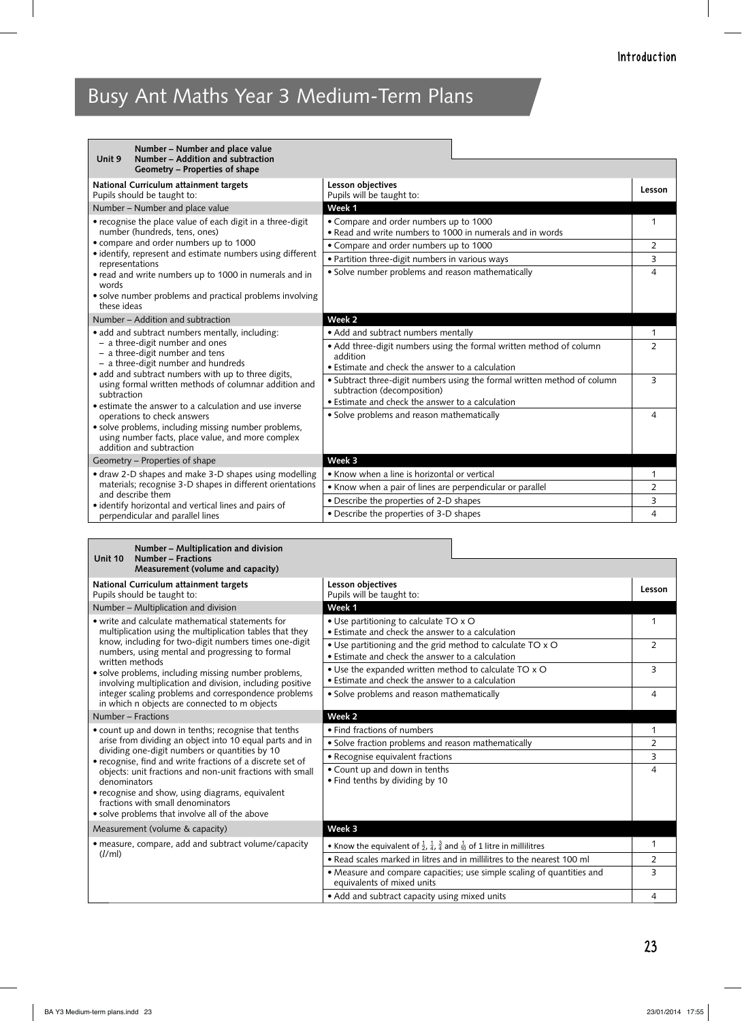| Number - Number and place value<br>Number - Addition and subtraction<br>Unit 9<br>Geometry – Properties of shape                                                                                                                                                                                                                                              |                                                                                                                                                             |                                |
|---------------------------------------------------------------------------------------------------------------------------------------------------------------------------------------------------------------------------------------------------------------------------------------------------------------------------------------------------------------|-------------------------------------------------------------------------------------------------------------------------------------------------------------|--------------------------------|
| National Curriculum attainment targets<br>Pupils should be taught to:                                                                                                                                                                                                                                                                                         | Lesson objectives<br>Pupils will be taught to:                                                                                                              | Lesson                         |
| Number – Number and place value                                                                                                                                                                                                                                                                                                                               | Week 1                                                                                                                                                      |                                |
| • recognise the place value of each digit in a three-digit<br>number (hundreds, tens, ones)<br>• compare and order numbers up to 1000<br>• identify, represent and estimate numbers using different<br>representations                                                                                                                                        | • Compare and order numbers up to 1000<br>. Read and write numbers to 1000 in numerals and in words                                                         | 1                              |
|                                                                                                                                                                                                                                                                                                                                                               | • Compare and order numbers up to 1000                                                                                                                      | $\overline{2}$                 |
|                                                                                                                                                                                                                                                                                                                                                               | • Partition three-digit numbers in various ways                                                                                                             | 3                              |
| • read and write numbers up to 1000 in numerals and in<br>words                                                                                                                                                                                                                                                                                               | · Solve number problems and reason mathematically                                                                                                           | 4                              |
| • solve number problems and practical problems involving<br>these ideas                                                                                                                                                                                                                                                                                       |                                                                                                                                                             |                                |
| Number – Addition and subtraction                                                                                                                                                                                                                                                                                                                             | Week 2                                                                                                                                                      |                                |
| · add and subtract numbers mentally, including:<br>- a three-digit number and ones<br>- a three-digit number and tens                                                                                                                                                                                                                                         | • Add and subtract numbers mentally<br>. Add three-digit numbers using the formal written method of column<br>addition                                      | $\mathbf{1}$<br>$\overline{2}$ |
| - a three-digit number and hundreds                                                                                                                                                                                                                                                                                                                           | • Estimate and check the answer to a calculation                                                                                                            |                                |
| • add and subtract numbers with up to three digits,<br>using formal written methods of columnar addition and<br>subtraction<br>• estimate the answer to a calculation and use inverse<br>operations to check answers<br>• solve problems, including missing number problems,<br>using number facts, place value, and more complex<br>addition and subtraction | • Subtract three-digit numbers using the formal written method of column<br>subtraction (decomposition)<br>• Estimate and check the answer to a calculation | 3                              |
|                                                                                                                                                                                                                                                                                                                                                               | · Solve problems and reason mathematically                                                                                                                  | 4                              |
| Geometry – Properties of shape                                                                                                                                                                                                                                                                                                                                | Week 3                                                                                                                                                      |                                |
| • draw 2-D shapes and make 3-D shapes using modelling<br>materials; recognise 3-D shapes in different orientations<br>and describe them<br>• identify horizontal and vertical lines and pairs of                                                                                                                                                              | • Know when a line is horizontal or vertical                                                                                                                | 1                              |
|                                                                                                                                                                                                                                                                                                                                                               | • Know when a pair of lines are perpendicular or parallel                                                                                                   | $\overline{2}$                 |
|                                                                                                                                                                                                                                                                                                                                                               | • Describe the properties of 2-D shapes                                                                                                                     | 3                              |
| perpendicular and parallel lines                                                                                                                                                                                                                                                                                                                              | • Describe the properties of 3-D shapes                                                                                                                     | $\overline{4}$                 |

| Number - Multiplication and division<br>Number - Fractions<br>Unit 10<br>Measurement (volume and capacity)                                                                                                                                                                                                                                                                                                                                                                 |                                                                                                                     |                |
|----------------------------------------------------------------------------------------------------------------------------------------------------------------------------------------------------------------------------------------------------------------------------------------------------------------------------------------------------------------------------------------------------------------------------------------------------------------------------|---------------------------------------------------------------------------------------------------------------------|----------------|
| National Curriculum attainment targets<br>Pupils should be taught to:                                                                                                                                                                                                                                                                                                                                                                                                      | Lesson objectives<br>Pupils will be taught to:                                                                      | Lesson         |
| Number - Multiplication and division                                                                                                                                                                                                                                                                                                                                                                                                                                       | Week 1                                                                                                              |                |
| • write and calculate mathematical statements for<br>multiplication using the multiplication tables that they<br>know, including for two-digit numbers times one-digit<br>numbers, using mental and progressing to formal<br>written methods<br>· solve problems, including missing number problems,<br>involving multiplication and division, including positive<br>integer scaling problems and correspondence problems<br>in which n objects are connected to m objects | • Use partitioning to calculate TO x O<br>• Estimate and check the answer to a calculation                          | 1              |
|                                                                                                                                                                                                                                                                                                                                                                                                                                                                            | • Use partitioning and the grid method to calculate TO x O<br>• Estimate and check the answer to a calculation      | $\overline{2}$ |
|                                                                                                                                                                                                                                                                                                                                                                                                                                                                            | . Use the expanded written method to calculate TO x O<br>• Estimate and check the answer to a calculation           | 3              |
|                                                                                                                                                                                                                                                                                                                                                                                                                                                                            | • Solve problems and reason mathematically                                                                          | 4              |
| Number - Fractions                                                                                                                                                                                                                                                                                                                                                                                                                                                         | Week <sub>2</sub>                                                                                                   |                |
| • count up and down in tenths; recognise that tenths                                                                                                                                                                                                                                                                                                                                                                                                                       | • Find fractions of numbers                                                                                         | 1              |
| arise from dividing an object into 10 equal parts and in<br>dividing one-digit numbers or quantities by 10                                                                                                                                                                                                                                                                                                                                                                 | · Solve fraction problems and reason mathematically                                                                 | 2              |
| · recognise, find and write fractions of a discrete set of                                                                                                                                                                                                                                                                                                                                                                                                                 | • Recognise equivalent fractions                                                                                    | 3              |
| objects: unit fractions and non-unit fractions with small<br>denominators                                                                                                                                                                                                                                                                                                                                                                                                  | • Count up and down in tenths<br>• Find tenths by dividing by 10                                                    | $\overline{4}$ |
| • recognise and show, using diagrams, equivalent<br>fractions with small denominators                                                                                                                                                                                                                                                                                                                                                                                      |                                                                                                                     |                |
| • solve problems that involve all of the above                                                                                                                                                                                                                                                                                                                                                                                                                             |                                                                                                                     |                |
| Measurement (volume & capacity)                                                                                                                                                                                                                                                                                                                                                                                                                                            | Week 3                                                                                                              |                |
| • measure, compare, add and subtract volume/capacity<br>(l/m)                                                                                                                                                                                                                                                                                                                                                                                                              | • Know the equivalent of $\frac{1}{2}$ , $\frac{1}{4}$ , $\frac{3}{4}$ and $\frac{1}{10}$ of 1 litre in millilitres | 1              |
|                                                                                                                                                                                                                                                                                                                                                                                                                                                                            | • Read scales marked in litres and in millilitres to the nearest 100 ml                                             | 2              |
|                                                                                                                                                                                                                                                                                                                                                                                                                                                                            | • Measure and compare capacities; use simple scaling of quantities and<br>equivalents of mixed units                | 3              |
|                                                                                                                                                                                                                                                                                                                                                                                                                                                                            | • Add and subtract capacity using mixed units                                                                       | $\overline{4}$ |